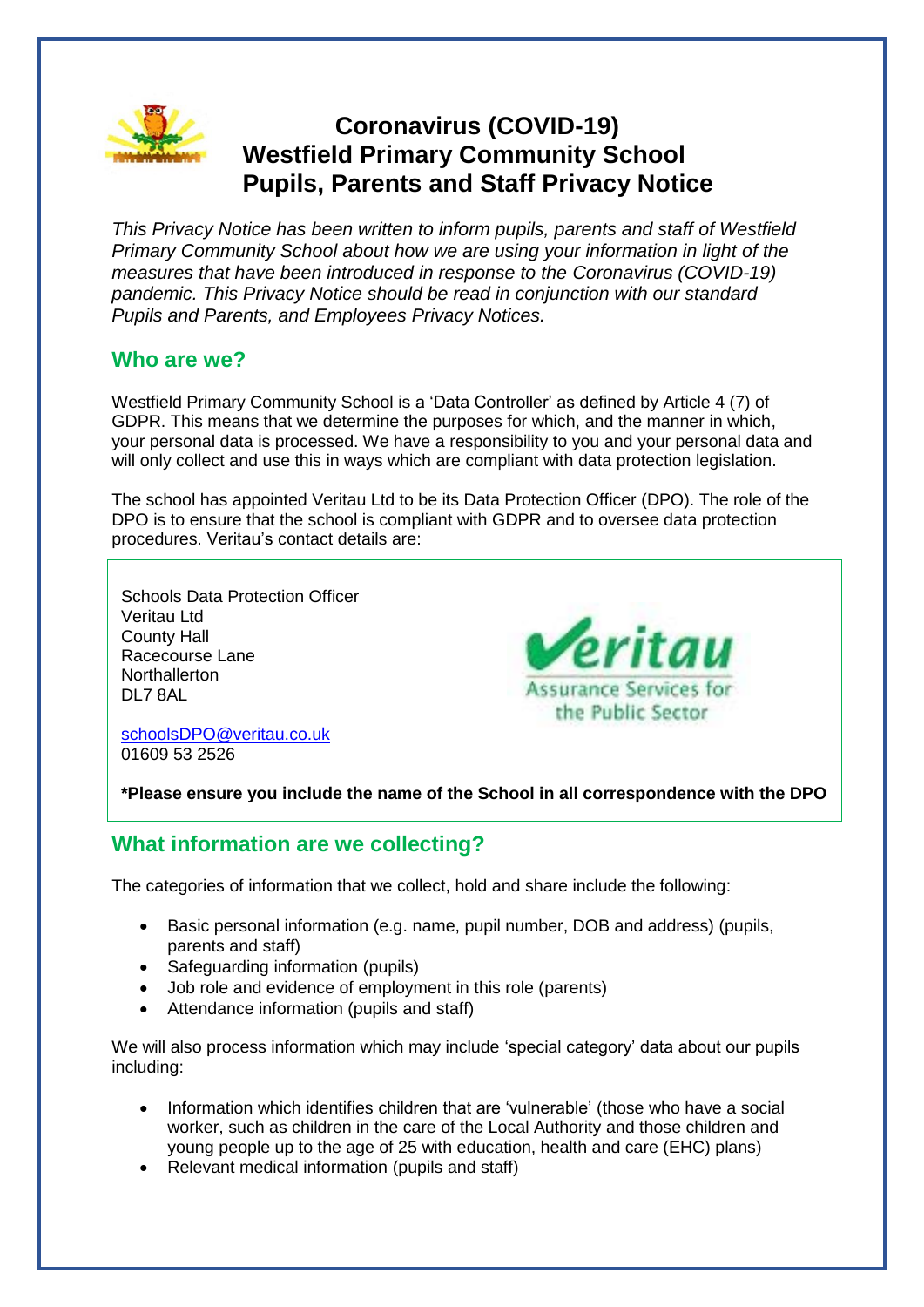

# **Coronavirus (COVID-19) Westfield Primary Community School Pupils, Parents and Staff Privacy Notice**

*This Privacy Notice has been written to inform pupils, parents and staff of Westfield Primary Community School about how we are using your information in light of the measures that have been introduced in response to the Coronavirus (COVID-19) pandemic. This Privacy Notice should be read in conjunction with our standard Pupils and Parents, and Employees Privacy Notices.*

## **Who are we?**

Westfield Primary Community School is a 'Data Controller' as defined by Article 4 (7) of GDPR. This means that we determine the purposes for which, and the manner in which, your personal data is processed. We have a responsibility to you and your personal data and will only collect and use this in ways which are compliant with data protection legislation.

The school has appointed Veritau Ltd to be its Data Protection Officer (DPO). The role of the DPO is to ensure that the school is compliant with GDPR and to oversee data protection procedures. Veritau's contact details are:

Schools Data Protection Officer Veritau Ltd County Hall Racecourse Lane **Northallerton** DL7 8AL



[schoolsDPO@veritau.co.uk](mailto:schoolsDPO@veritau.co.uk) 01609 53 2526

**\*Please ensure you include the name of the School in all correspondence with the DPO** 

## **What information are we collecting?**

The categories of information that we collect, hold and share include the following:

- Basic personal information (e.g. name, pupil number, DOB and address) (pupils, parents and staff)
- Safeguarding information (pupils)
- Job role and evidence of employment in this role (parents)
- Attendance information (pupils and staff)

We will also process information which may include 'special category' data about our pupils including:

- Information which identifies children that are 'vulnerable' (those who have a social worker, such as children in the care of the Local Authority and those children and young people up to the age of 25 with education, health and care (EHC) plans)
- Relevant medical information (pupils and staff)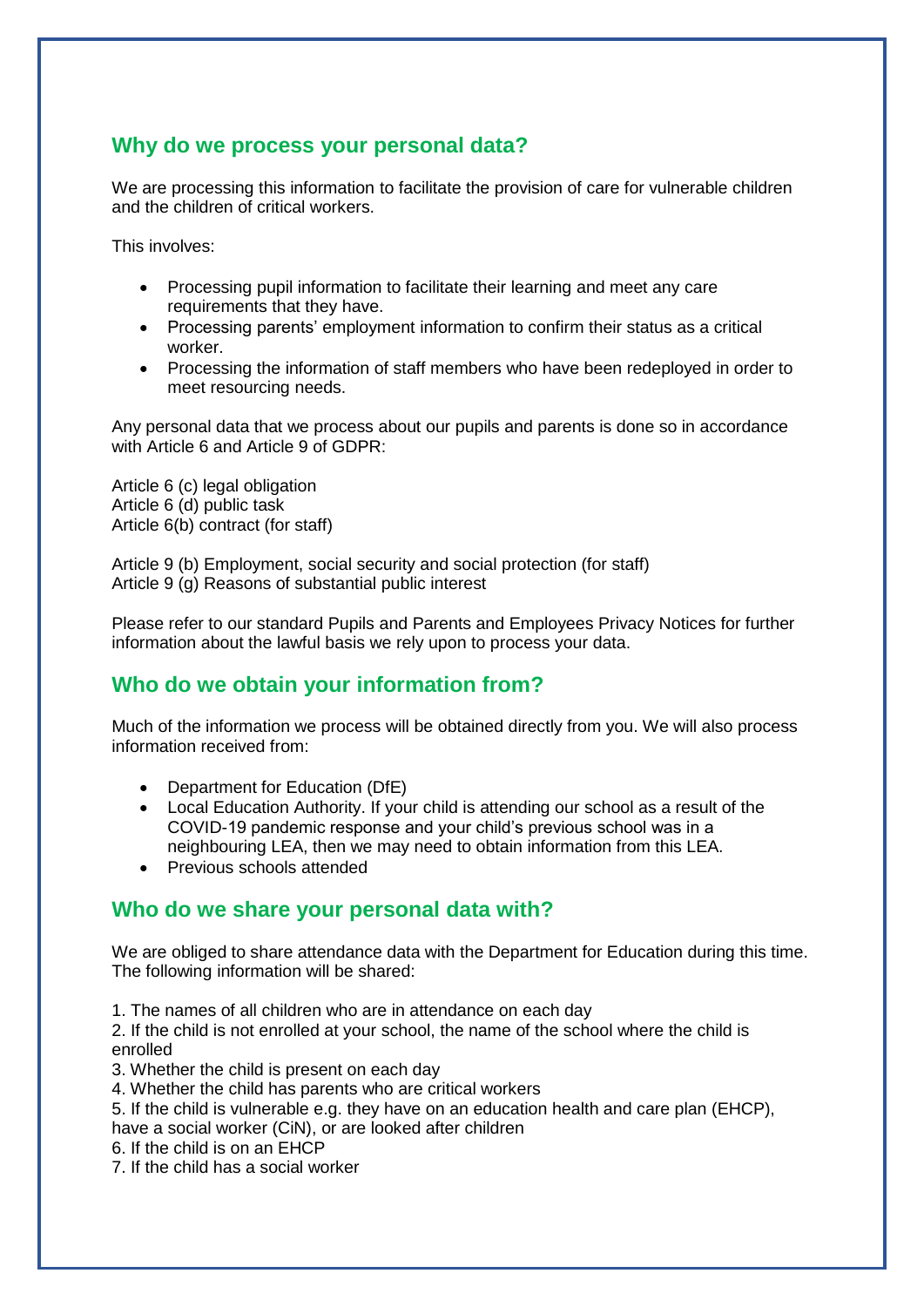## **Why do we process your personal data?**

We are processing this information to facilitate the provision of care for vulnerable children and the children of critical workers.

This involves:

- Processing pupil information to facilitate their learning and meet any care requirements that they have.
- Processing parents' employment information to confirm their status as a critical worker.
- Processing the information of staff members who have been redeployed in order to meet resourcing needs.

Any personal data that we process about our pupils and parents is done so in accordance with Article 6 and Article 9 of GDPR:

Article 6 (c) legal obligation Article 6 (d) public task Article 6(b) contract (for staff)

Article 9 (b) Employment, social security and social protection (for staff) Article 9 (g) Reasons of substantial public interest

Please refer to our standard Pupils and Parents and Employees Privacy Notices for further information about the lawful basis we rely upon to process your data.

## **Who do we obtain your information from?**

Much of the information we process will be obtained directly from you. We will also process information received from:

- Department for Education (DfE)
- Local Education Authority. If your child is attending our school as a result of the COVID-19 pandemic response and your child's previous school was in a neighbouring LEA, then we may need to obtain information from this LEA.
- Previous schools attended

## **Who do we share your personal data with?**

We are obliged to share attendance data with the Department for Education during this time. The following information will be shared:

1. The names of all children who are in attendance on each day

2. If the child is not enrolled at your school, the name of the school where the child is enrolled

- 3. Whether the child is present on each day
- 4. Whether the child has parents who are critical workers
- 5. If the child is vulnerable e.g. they have on an education health and care plan (EHCP), have a social worker (CiN), or are looked after children
- 6. If the child is on an EHCP

7. If the child has a social worker